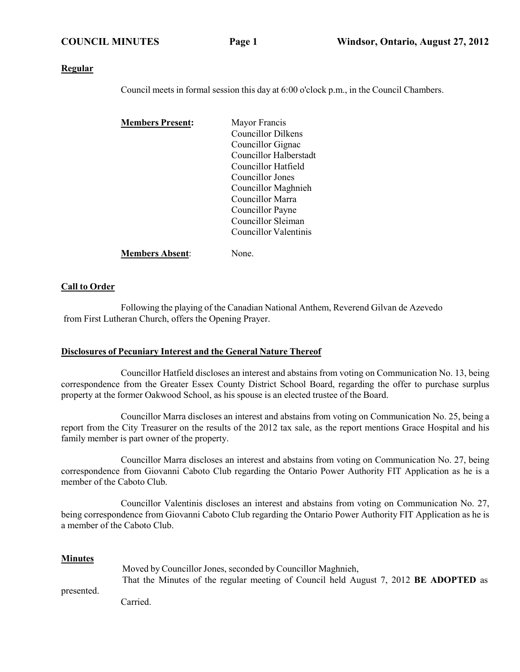### **Regular**

Council meets in formal session this day at 6:00 o'clock p.m., in the Council Chambers.

| <b>Members Present:</b> | Mayor Francis                 |
|-------------------------|-------------------------------|
|                         | <b>Councillor Dilkens</b>     |
|                         | Councillor Gignac             |
|                         | <b>Councillor Halberstadt</b> |
|                         | Councillor Hatfield           |
|                         | Councillor Jones              |
|                         | Councillor Maghnieh           |
|                         | Councillor Marra              |
|                         | Councillor Payne              |
|                         | Councillor Sleiman            |
|                         | Councillor Valentinis         |
| <b>Members Absent:</b>  | None.                         |

### **Call to Order**

Following the playing of the Canadian National Anthem, Reverend Gilvan de Azevedo from First Lutheran Church, offers the Opening Prayer.

### **Disclosures of Pecuniary Interest and the General Nature Thereof**

Councillor Hatfield discloses an interest and abstains from voting on Communication No. 13, being correspondence from the Greater Essex County District School Board, regarding the offer to purchase surplus property at the former Oakwood School, as his spouse is an elected trustee of the Board.

Councillor Marra discloses an interest and abstains from voting on Communication No. 25, being a report from the City Treasurer on the results of the 2012 tax sale, as the report mentions Grace Hospital and his family member is part owner of the property.

Councillor Marra discloses an interest and abstains from voting on Communication No. 27, being correspondence from Giovanni Caboto Club regarding the Ontario Power Authority FIT Application as he is a member of the Caboto Club.

Councillor Valentinis discloses an interest and abstains from voting on Communication No. 27, being correspondence from Giovanni Caboto Club regarding the Ontario Power Authority FIT Application as he is a member of the Caboto Club.

### **Minutes**

|     | Moved by Councillor Jones, seconded by Councillor Maghnieh,                                 |  |  |
|-----|---------------------------------------------------------------------------------------------|--|--|
| . 1 | That the Minutes of the regular meeting of Council held August 7, 2012 <b>BE ADOPTED</b> as |  |  |

presented.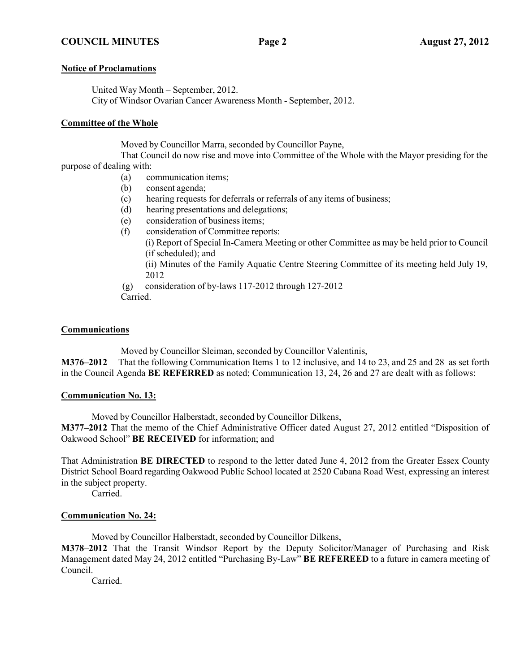## **Notice of Proclamations**

United Way Month – September, 2012. City of Windsor Ovarian Cancer Awareness Month - September, 2012.

## **Committee of the Whole**

Moved by Councillor Marra, seconded by Councillor Payne,

That Council do now rise and move into Committee of the Whole with the Mayor presiding for the purpose of dealing with:

- (a) communication items;
- (b) consent agenda;
- (c) hearing requests for deferrals or referrals of any items of business;
- (d) hearing presentations and delegations;
- (e) consideration of business items;
- (f) consideration of Committee reports:
	- (i) Report of Special In-Camera Meeting or other Committee as may be held prior to Council (if scheduled); and
	- (ii) Minutes of the Family Aquatic Centre Steering Committee of its meeting held July 19, 2012

(g) consideration of by-laws 117-2012 through 127-2012 Carried.

## **Communications**

Moved by Councillor Sleiman, seconded by Councillor Valentinis,

**M376–2012** That the following Communication Items 1 to 12 inclusive, and 14 to 23, and 25 and 28 as set forth in the Council Agenda **BE REFERRED** as noted; Communication 13, 24, 26 and 27 are dealt with as follows:

## **Communication No. 13:**

Moved by Councillor Halberstadt, seconded by Councillor Dilkens, **M377–2012** That the memo of the Chief Administrative Officer dated August 27, 2012 entitled "Disposition of Oakwood School" **BE RECEIVED** for information; and

That Administration **BE DIRECTED** to respond to the letter dated June 4, 2012 from the Greater Essex County District School Board regarding Oakwood Public School located at 2520 Cabana Road West, expressing an interest in the subject property.

Carried.

## **Communication No. 24:**

Moved by Councillor Halberstadt, seconded by Councillor Dilkens,

**M378–2012** That the Transit Windsor Report by the Deputy Solicitor/Manager of Purchasing and Risk Management dated May 24, 2012 entitled "Purchasing By-Law" **BE REFEREED** to a future in camera meeting of Council.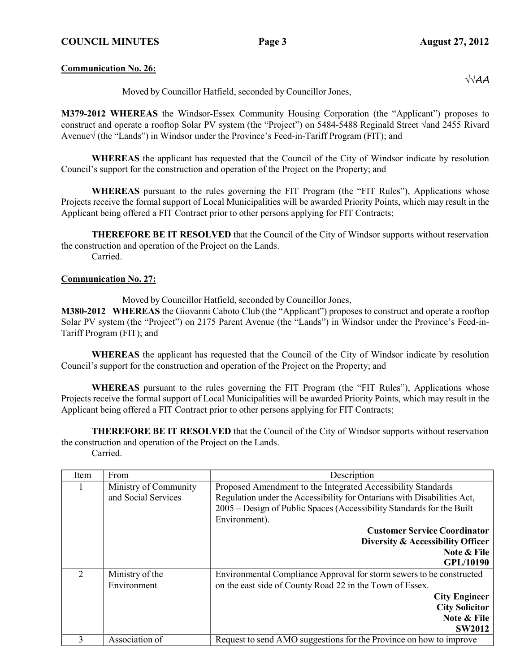**Communication No. 26:**

Moved by Councillor Hatfield, seconded by Councillor Jones,

**M379-2012 WHEREAS** the Windsor-Essex Community Housing Corporation (the "Applicant") proposes to construct and operate a rooftop Solar PV system (the "Project") on 5484-5488 Reginald Street √and 2455 Rivard Avenue√ (the "Lands") in Windsor under the Province's Feed-in-Tariff Program (FIT); and

**WHEREAS** the applicant has requested that the Council of the City of Windsor indicate by resolution Council's support for the construction and operation of the Project on the Property; and

**WHEREAS** pursuant to the rules governing the FIT Program (the "FIT Rules"), Applications whose Projects receive the formal support of Local Municipalities will be awarded Priority Points, which may result in the Applicant being offered a FIT Contract prior to other persons applying for FIT Contracts;

**THEREFORE BE IT RESOLVED** that the Council of the City of Windsor supports without reservation the construction and operation of the Project on the Lands. Carried.

### **Communication No. 27:**

Moved by Councillor Hatfield, seconded by Councillor Jones,

**M380-2012 WHEREAS** the Giovanni Caboto Club (the "Applicant") proposes to construct and operate a rooftop Solar PV system (the "Project") on 2175 Parent Avenue (the "Lands") in Windsor under the Province's Feed-in-Tariff Program (FIT); and

**WHEREAS** the applicant has requested that the Council of the City of Windsor indicate by resolution Council's support for the construction and operation of the Project on the Property; and

**WHEREAS** pursuant to the rules governing the FIT Program (the "FIT Rules"), Applications whose Projects receive the formal support of Local Municipalities will be awarded Priority Points, which may result in the Applicant being offered a FIT Contract prior to other persons applying for FIT Contracts;

**THEREFORE BE IT RESOLVED** that the Council of the City of Windsor supports without reservation the construction and operation of the Project on the Lands.

| Item                        | From                  | Description                                                             |
|-----------------------------|-----------------------|-------------------------------------------------------------------------|
|                             | Ministry of Community | Proposed Amendment to the Integrated Accessibility Standards            |
|                             | and Social Services   | Regulation under the Accessibility for Ontarians with Disabilities Act, |
|                             |                       | 2005 – Design of Public Spaces (Accessibility Standards for the Built   |
|                             |                       | Environment).                                                           |
|                             |                       | <b>Customer Service Coordinator</b>                                     |
|                             |                       | Diversity & Accessibility Officer                                       |
|                             |                       | Note & File                                                             |
|                             |                       | GPL/10190                                                               |
| $\mathcal{D}_{\mathcal{L}}$ | Ministry of the       | Environmental Compliance Approval for storm sewers to be constructed    |
|                             | Environment           | on the east side of County Road 22 in the Town of Essex.                |
|                             |                       | <b>City Engineer</b>                                                    |
|                             |                       | <b>City Solicitor</b>                                                   |
|                             |                       | Note & File                                                             |
|                             |                       | <b>SW2012</b>                                                           |
| 3                           | Association of        | Request to send AMO suggestions for the Province on how to improve      |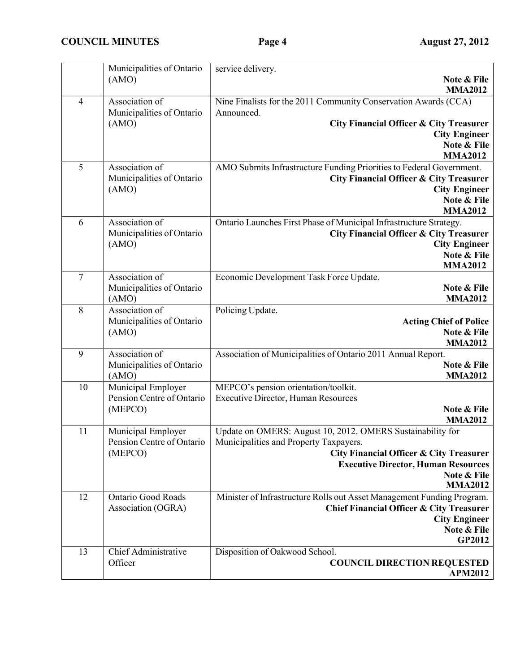|                | Municipalities of Ontario<br>(AMO)                         | service delivery.<br>Note & File                                                                                                                                                                                                          |
|----------------|------------------------------------------------------------|-------------------------------------------------------------------------------------------------------------------------------------------------------------------------------------------------------------------------------------------|
| $\overline{4}$ | Association of                                             | <b>MMA2012</b><br>Nine Finalists for the 2011 Community Conservation Awards (CCA)                                                                                                                                                         |
|                | Municipalities of Ontario<br>(AMO)                         | Announced.<br><b>City Financial Officer &amp; City Treasurer</b><br><b>City Engineer</b><br>Note & File<br><b>MMA2012</b>                                                                                                                 |
| 5              | Association of<br>Municipalities of Ontario<br>(AMO)       | AMO Submits Infrastructure Funding Priorities to Federal Government.<br><b>City Financial Officer &amp; City Treasurer</b><br><b>City Engineer</b><br>Note & File<br><b>MMA2012</b>                                                       |
| 6              | Association of<br>Municipalities of Ontario<br>(AMO)       | Ontario Launches First Phase of Municipal Infrastructure Strategy.<br><b>City Financial Officer &amp; City Treasurer</b><br><b>City Engineer</b><br>Note & File<br><b>MMA2012</b>                                                         |
| $\overline{7}$ | Association of<br>Municipalities of Ontario<br>(AMO)       | Economic Development Task Force Update.<br>Note & File<br><b>MMA2012</b>                                                                                                                                                                  |
| 8              | Association of<br>Municipalities of Ontario<br>(AMO)       | Policing Update.<br><b>Acting Chief of Police</b><br>Note & File<br><b>MMA2012</b>                                                                                                                                                        |
| 9              | Association of<br>Municipalities of Ontario<br>(AMO)       | Association of Municipalities of Ontario 2011 Annual Report.<br>Note & File<br><b>MMA2012</b>                                                                                                                                             |
| 10             | Municipal Employer<br>Pension Centre of Ontario<br>(MEPCO) | MEPCO's pension orientation/toolkit.<br><b>Executive Director, Human Resources</b><br>Note & File<br><b>MMA2012</b>                                                                                                                       |
| 11             | Municipal Employer<br>Pension Centre of Ontario<br>(MEPCO) | Update on OMERS: August 10, 2012. OMERS Sustainability for<br>Municipalities and Property Taxpayers.<br><b>City Financial Officer &amp; City Treasurer</b><br><b>Executive Director, Human Resources</b><br>Note & File<br><b>MMA2012</b> |
| 12             | <b>Ontario Good Roads</b><br>Association (OGRA)            | Minister of Infrastructure Rolls out Asset Management Funding Program.<br>Chief Financial Officer & City Treasurer<br><b>City Engineer</b><br>Note & File<br><b>GP2012</b>                                                                |
| 13             | Chief Administrative<br>Officer                            | Disposition of Oakwood School.<br><b>COUNCIL DIRECTION REQUESTED</b><br><b>APM2012</b>                                                                                                                                                    |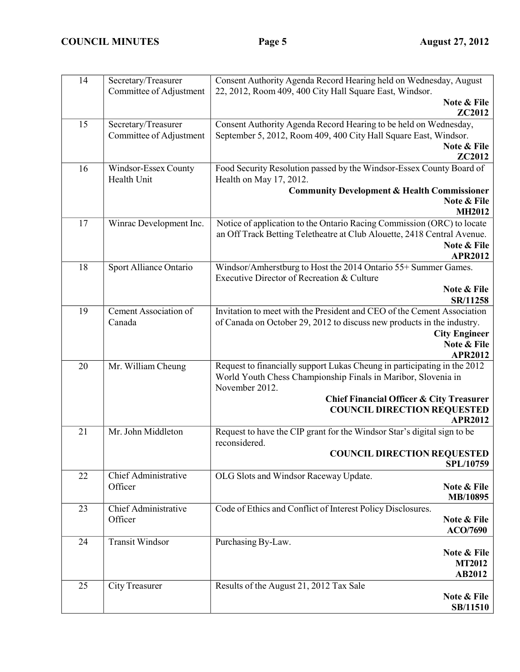| 14 | Secretary/Treasurer<br>Committee of Adjustment | Consent Authority Agenda Record Hearing held on Wednesday, August<br>22, 2012, Room 409, 400 City Hall Square East, Windsor. |
|----|------------------------------------------------|------------------------------------------------------------------------------------------------------------------------------|
|    |                                                | Note & File<br><b>ZC2012</b>                                                                                                 |
| 15 | Secretary/Treasurer                            | Consent Authority Agenda Record Hearing to be held on Wednesday,                                                             |
|    | Committee of Adjustment                        | September 5, 2012, Room 409, 400 City Hall Square East, Windsor.                                                             |
|    |                                                | Note & File                                                                                                                  |
|    |                                                | ZC2012                                                                                                                       |
| 16 | Windsor-Essex County                           | Food Security Resolution passed by the Windsor-Essex County Board of                                                         |
|    | Health Unit                                    | Health on May 17, 2012.                                                                                                      |
|    |                                                | <b>Community Development &amp; Health Commissioner</b>                                                                       |
|    |                                                | Note & File                                                                                                                  |
|    |                                                | <b>MH2012</b>                                                                                                                |
| 17 | Winrac Development Inc.                        | Notice of application to the Ontario Racing Commission (ORC) to locate                                                       |
|    |                                                | an Off Track Betting Teletheatre at Club Alouette, 2418 Central Avenue.                                                      |
|    |                                                | Note & File                                                                                                                  |
|    |                                                | <b>APR2012</b>                                                                                                               |
| 18 | Sport Alliance Ontario                         | Windsor/Amherstburg to Host the 2014 Ontario 55+ Summer Games.                                                               |
|    |                                                | Executive Director of Recreation & Culture                                                                                   |
|    |                                                | Note & File                                                                                                                  |
|    |                                                | SR/11258                                                                                                                     |
| 19 | <b>Cement Association of</b>                   | Invitation to meet with the President and CEO of the Cement Association                                                      |
|    | Canada                                         | of Canada on October 29, 2012 to discuss new products in the industry.                                                       |
|    |                                                | <b>City Engineer</b>                                                                                                         |
|    |                                                | Note & File                                                                                                                  |
|    |                                                | <b>APR2012</b>                                                                                                               |
| 20 | Mr. William Cheung                             | Request to financially support Lukas Cheung in participating in the 2012                                                     |
|    |                                                | World Youth Chess Championship Finals in Maribor, Slovenia in<br>November 2012.                                              |
|    |                                                | <b>Chief Financial Officer &amp; City Treasurer</b>                                                                          |
|    |                                                | <b>COUNCIL DIRECTION REQUESTED</b>                                                                                           |
|    |                                                | <b>APR2012</b>                                                                                                               |
| 21 | Mr. John Middleton                             | Request to have the CIP grant for the Windsor Star's digital sign to be                                                      |
|    |                                                | reconsidered.                                                                                                                |
|    |                                                | <b>COUNCIL DIRECTION REQUESTED</b>                                                                                           |
|    |                                                | SPL/10759                                                                                                                    |
| 22 | Chief Administrative                           | OLG Slots and Windsor Raceway Update.                                                                                        |
|    | Officer                                        | Note & File                                                                                                                  |
|    |                                                | MB/10895                                                                                                                     |
| 23 | Chief Administrative                           | Code of Ethics and Conflict of Interest Policy Disclosures.                                                                  |
|    | Officer                                        | Note & File                                                                                                                  |
|    |                                                | ACO/7690                                                                                                                     |
| 24 | <b>Transit Windsor</b>                         | Purchasing By-Law.                                                                                                           |
|    |                                                | Note & File                                                                                                                  |
|    |                                                | <b>MT2012</b>                                                                                                                |
|    |                                                | AB2012                                                                                                                       |
| 25 | City Treasurer                                 | Results of the August 21, 2012 Tax Sale                                                                                      |
|    |                                                | Note & File                                                                                                                  |
|    |                                                | SB/11510                                                                                                                     |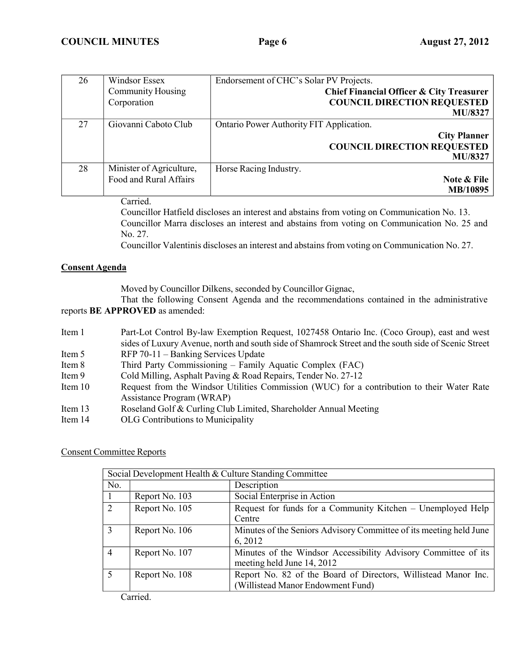| Endorsement of CHC's Solar PV Projects.  | Windsor Essex            | 26 |
|------------------------------------------|--------------------------|----|
| Chief Financial Officer & City Treasurer | <b>Community Housing</b> |    |
| <b>COUNCIL DIRECTION REQUESTED</b>       | Corporation              |    |
| <b>MU/8327</b>                           |                          |    |
| Ontario Power Authority FIT Application. | Giovanni Caboto Club     | 27 |
| <b>City Planner</b>                      |                          |    |
| <b>COUNCIL DIRECTION REQUESTED</b>       |                          |    |
| <b>MU/8327</b>                           |                          |    |
| Horse Racing Industry.                   | Minister of Agriculture, | 28 |
| Note & File                              | Food and Rural Affairs   |    |
| MB/10895                                 |                          |    |

Carried.

Councillor Hatfield discloses an interest and abstains from voting on Communication No. 13. Councillor Marra discloses an interest and abstains from voting on Communication No. 25 and No. 27.

Councillor Valentinis discloses an interest and abstains from voting on Communication No. 27.

## **Consent Agenda**

Moved by Councillor Dilkens, seconded by Councillor Gignac,

That the following Consent Agenda and the recommendations contained in the administrative reports **BE APPROVED** as amended:

| Item 1    | Part-Lot Control By-law Exemption Request, 1027458 Ontario Inc. (Coco Group), east and west         |  |
|-----------|-----------------------------------------------------------------------------------------------------|--|
|           | sides of Luxury Avenue, north and south side of Shamrock Street and the south side of Scenic Street |  |
| Item 5    | RFP 70-11 - Banking Services Update                                                                 |  |
| Item 8    | Third Party Commissioning – Family Aquatic Complex (FAC)                                            |  |
| Item 9    | Cold Milling, Asphalt Paving & Road Repairs, Tender No. 27-12                                       |  |
| Item $10$ | Request from the Windsor Utilities Commission (WUC) for a contribution to their Water Rate          |  |
|           | Assistance Program (WRAP)                                                                           |  |
| Item $13$ | Roseland Golf & Curling Club Limited, Shareholder Annual Meeting                                    |  |
| Item 14   | OLG Contributions to Municipality                                                                   |  |

### Consent Committee Reports

| Social Development Health & Culture Standing Committee |                |                                                                                                     |
|--------------------------------------------------------|----------------|-----------------------------------------------------------------------------------------------------|
| No.                                                    |                | Description                                                                                         |
|                                                        | Report No. 103 | Social Enterprise in Action                                                                         |
| 2                                                      | Report No. 105 | Request for funds for a Community Kitchen – Unemployed Help<br>Centre                               |
| 3                                                      | Report No. 106 | Minutes of the Seniors Advisory Committee of its meeting held June<br>6, 2012                       |
| $\overline{4}$                                         | Report No. 107 | Minutes of the Windsor Accessibility Advisory Committee of its<br>meeting held June 14, 2012        |
| 5                                                      | Report No. 108 | Report No. 82 of the Board of Directors, Willistead Manor Inc.<br>(Willistead Manor Endowment Fund) |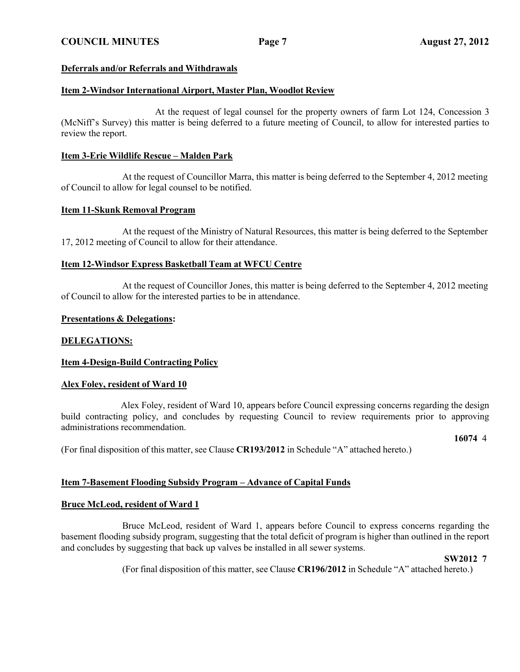## **Deferrals and/or Referrals and Withdrawals**

## **Item 2-Windsor International Airport, Master Plan, Woodlot Review**

At the request of legal counsel for the property owners of farm Lot 124, Concession 3 (McNiff's Survey) this matter is being deferred to a future meeting of Council, to allow for interested parties to review the report.

### **Item 3-Erie Wildlife Rescue – Malden Park**

At the request of Councillor Marra, this matter is being deferred to the September 4, 2012 meeting of Council to allow for legal counsel to be notified.

### **Item 11-Skunk Removal Program**

At the request of the Ministry of Natural Resources, this matter is being deferred to the September 17, 2012 meeting of Council to allow for their attendance.

### **Item 12-Windsor Express Basketball Team at WFCU Centre**

At the request of Councillor Jones, this matter is being deferred to the September 4, 2012 meeting of Council to allow for the interested parties to be in attendance.

### **Presentations & Delegations:**

### **DELEGATIONS:**

### **Item 4-Design-Build Contracting Policy**

### **Alex Foley, resident of Ward 10**

Alex Foley, resident of Ward 10, appears before Council expressing concerns regarding the design build contracting policy, and concludes by requesting Council to review requirements prior to approving administrations recommendation.

**16074** 4

(For final disposition of this matter, see Clause **CR193/2012** in Schedule "A" attached hereto.)

### **Item 7-Basement Flooding Subsidy Program – Advance of Capital Funds**

### **Bruce McLeod, resident of Ward 1**

Bruce McLeod, resident of Ward 1, appears before Council to express concerns regarding the basement flooding subsidy program, suggesting that the total deficit of program is higher than outlined in the report and concludes by suggesting that back up valves be installed in all sewer systems.

### **SW2012 7**

(For final disposition of this matter, see Clause **CR196/2012** in Schedule "A" attached hereto.)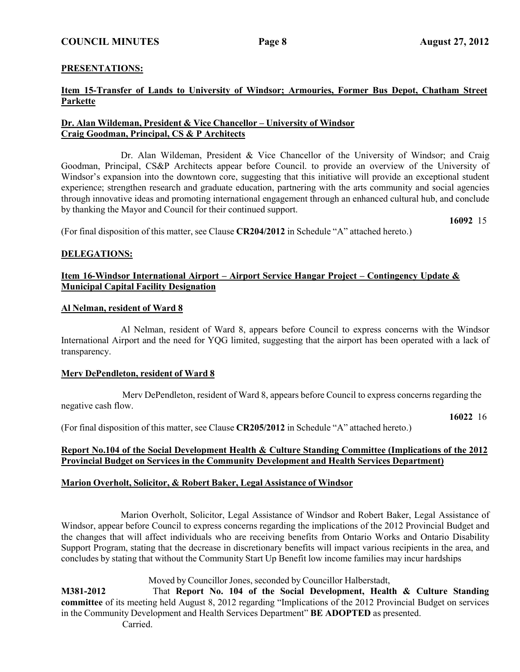## **PRESENTATIONS:**

## **Item 15-Transfer of Lands to University of Windsor; Armouries, Former Bus Depot, Chatham Street Parkette**

## **Dr. Alan Wildeman, President & Vice Chancellor – University of Windsor Craig Goodman, Principal, CS & P Architects**

Dr. Alan Wildeman, President & Vice Chancellor of the University of Windsor; and Craig Goodman, Principal, CS&P Architects appear before Council. to provide an overview of the University of Windsor's expansion into the downtown core, suggesting that this initiative will provide an exceptional student experience; strengthen research and graduate education, partnering with the arts community and social agencies through innovative ideas and promoting international engagement through an enhanced cultural hub, and conclude by thanking the Mayor and Council for their continued support.

**16092** 15

(For final disposition of this matter, see Clause **CR204/2012** in Schedule "A" attached hereto.)

## **DELEGATIONS:**

## **Item 16-Windsor International Airport – Airport Service Hangar Project – Contingency Update & Municipal Capital Facility Designation**

### **Al Nelman, resident of Ward 8**

Al Nelman, resident of Ward 8, appears before Council to express concerns with the Windsor International Airport and the need for YQG limited, suggesting that the airport has been operated with a lack of transparency.

### **Merv DePendleton, resident of Ward 8**

Merv DePendleton, resident of Ward 8, appears before Council to express concerns regarding the negative cash flow.

**16022** 16

(For final disposition of this matter, see Clause **CR205/2012** in Schedule "A" attached hereto.)

### **Report No.104 of the Social Development Health & Culture Standing Committee (Implications of the 2012 Provincial Budget on Services in the Community Development and Health Services Department)**

## **Marion Overholt, Solicitor, & Robert Baker, Legal Assistance of Windsor**

Marion Overholt, Solicitor, Legal Assistance of Windsor and Robert Baker, Legal Assistance of Windsor, appear before Council to express concerns regarding the implications of the 2012 Provincial Budget and the changes that will affect individuals who are receiving benefits from Ontario Works and Ontario Disability Support Program, stating that the decrease in discretionary benefits will impact various recipients in the area, and concludes by stating that without the Community Start Up Benefit low income families may incur hardships

Moved by Councillor Jones, seconded by Councillor Halberstadt,

**M381-2012** That **Report No. 104 of the Social Development, Health & Culture Standing committee** of its meeting held August 8, 2012 regarding "Implications of the 2012 Provincial Budget on services in the Community Development and Health Services Department" **BE ADOPTED** as presented. Carried.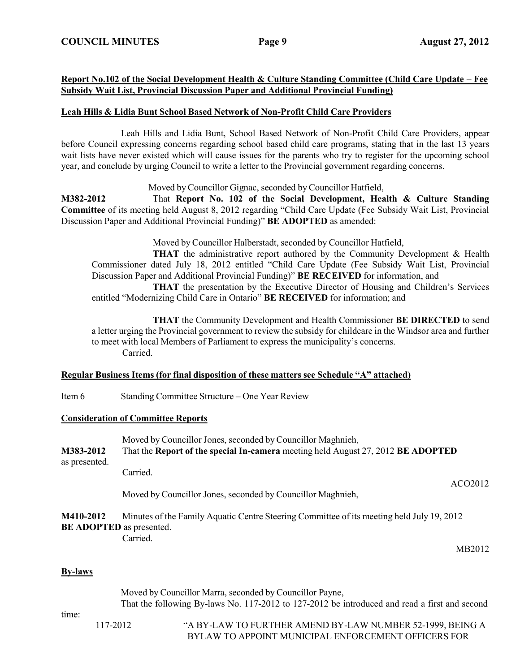## **Report No.102 of the Social Development Health & Culture Standing Committee (Child Care Update – Fee Subsidy Wait List, Provincial Discussion Paper and Additional Provincial Funding)**

## **Leah Hills & Lidia Bunt School Based Network of Non-Profit Child Care Providers**

Leah Hills and Lidia Bunt, School Based Network of Non-Profit Child Care Providers, appear before Council expressing concerns regarding school based child care programs, stating that in the last 13 years wait lists have never existed which will cause issues for the parents who try to register for the upcoming school year, and conclude by urging Council to write a letter to the Provincial government regarding concerns.

Moved by Councillor Gignac, seconded by Councillor Hatfield,

**M382-2012** That **Report No. 102 of the Social Development, Health & Culture Standing Committee** of its meeting held August 8, 2012 regarding "Child Care Update (Fee Subsidy Wait List, Provincial Discussion Paper and Additional Provincial Funding)" **BE ADOPTED** as amended:

Moved by Councillor Halberstadt, seconded by Councillor Hatfield,

**THAT** the administrative report authored by the Community Development & Health Commissioner dated July 18, 2012 entitled "Child Care Update (Fee Subsidy Wait List, Provincial Discussion Paper and Additional Provincial Funding)" **BE RECEIVED** for information, and

**THAT** the presentation by the Executive Director of Housing and Children's Services entitled "Modernizing Child Care in Ontario" **BE RECEIVED** for information; and

**THAT** the Community Development and Health Commissioner **BE DIRECTED** to send a letter urging the Provincial government to review the subsidy for childcare in the Windsor area and further to meet with local Members of Parliament to express the municipality's concerns. Carried.

### **Regular Business Items (for final disposition of these matters see Schedule "A" attached)**

Item 6 Standing Committee Structure – One Year Review

### **Consideration of Committee Reports**

| M383-2012     | Moved by Councillor Jones, seconded by Councillor Maghnieh,<br>That the Report of the special In-camera meeting held August 27, 2012 BE ADOPTED |         |
|---------------|-------------------------------------------------------------------------------------------------------------------------------------------------|---------|
| as presented. | Carried.                                                                                                                                        |         |
|               | Moved by Councillor Jones, seconded by Councillor Maghnieh,                                                                                     | ACO2012 |
| M110 2012     | Minutes of the Femily Aquetic Centre Steering Committee of its meeting hold July 10, 2012                                                       |         |

### **M410-2012** Minutes of the Family Aquatic Centre Steering Committee of its meeting held July 19, 2012 **BE ADOPTED** as presented. Carried.

MB2012

### **By-laws**

| Moved by Councillor Marra, seconded by Councillor Payne, |          | That the following By-laws No. 117-2012 to 127-2012 be introduced and read a first and second                    |
|----------------------------------------------------------|----------|------------------------------------------------------------------------------------------------------------------|
| time:                                                    | 117-2012 | "A BY-LAW TO FURTHER AMEND BY-LAW NUMBER 52-1999, BEING A<br>BYLAW TO APPOINT MUNICIPAL ENFORCEMENT OFFICERS FOR |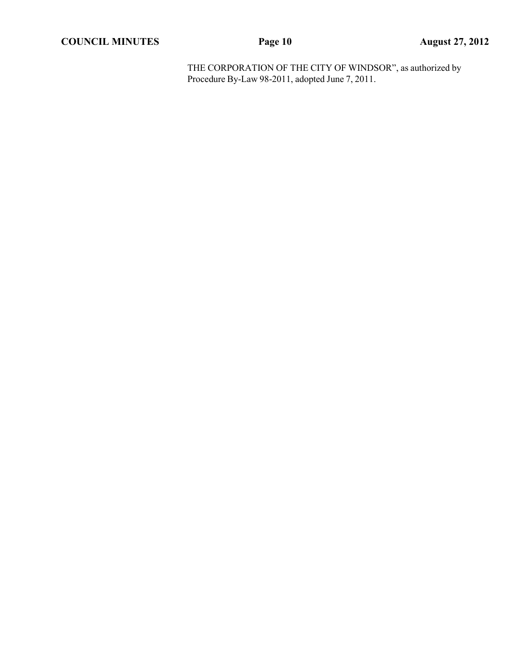THE CORPORATION OF THE CITY OF WINDSOR", as authorized by Procedure By-Law 98-2011, adopted June 7, 2011.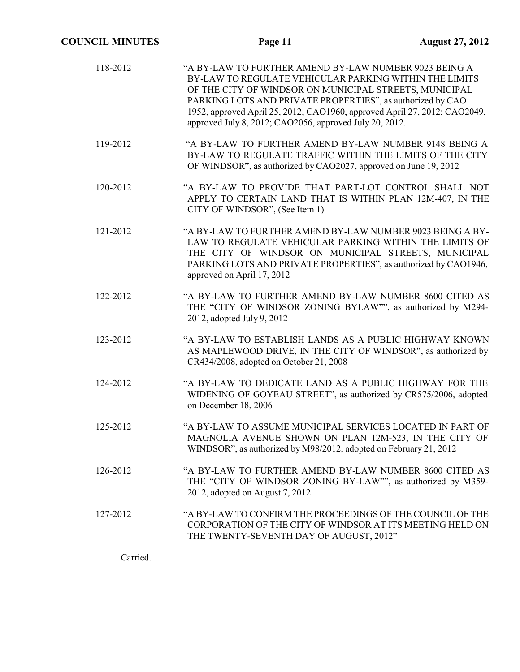| 118-2012 | "A BY-LAW TO FURTHER AMEND BY-LAW NUMBER 9023 BEING A<br>BY-LAW TO REGULATE VEHICULAR PARKING WITHIN THE LIMITS<br>OF THE CITY OF WINDSOR ON MUNICIPAL STREETS, MUNICIPAL<br>PARKING LOTS AND PRIVATE PROPERTIES", as authorized by CAO<br>1952, approved April 25, 2012; CAO1960, approved April 27, 2012; CAO2049,<br>approved July 8, 2012; CAO2056, approved July 20, 2012. |
|----------|---------------------------------------------------------------------------------------------------------------------------------------------------------------------------------------------------------------------------------------------------------------------------------------------------------------------------------------------------------------------------------|
| 119-2012 | "A BY-LAW TO FURTHER AMEND BY-LAW NUMBER 9148 BEING A<br>BY-LAW TO REGULATE TRAFFIC WITHIN THE LIMITS OF THE CITY<br>OF WINDSOR", as authorized by CAO2027, approved on June 19, 2012                                                                                                                                                                                           |
| 120-2012 | "A BY-LAW TO PROVIDE THAT PART-LOT CONTROL SHALL NOT<br>APPLY TO CERTAIN LAND THAT IS WITHIN PLAN 12M-407, IN THE<br>CITY OF WINDSOR", (See Item 1)                                                                                                                                                                                                                             |
| 121-2012 | "A BY-LAW TO FURTHER AMEND BY-LAW NUMBER 9023 BEING A BY-<br>LAW TO REGULATE VEHICULAR PARKING WITHIN THE LIMITS OF<br>THE CITY OF WINDSOR ON MUNICIPAL STREETS, MUNICIPAL<br>PARKING LOTS AND PRIVATE PROPERTIES", as authorized by CAO1946,<br>approved on April 17, 2012                                                                                                     |
| 122-2012 | "A BY-LAW TO FURTHER AMEND BY-LAW NUMBER 8600 CITED AS<br>THE "CITY OF WINDSOR ZONING BYLAW"", as authorized by M294-<br>2012, adopted July 9, 2012                                                                                                                                                                                                                             |
| 123-2012 | "A BY-LAW TO ESTABLISH LANDS AS A PUBLIC HIGHWAY KNOWN<br>AS MAPLEWOOD DRIVE, IN THE CITY OF WINDSOR", as authorized by<br>CR434/2008, adopted on October 21, 2008                                                                                                                                                                                                              |
| 124-2012 | "A BY-LAW TO DEDICATE LAND AS A PUBLIC HIGHWAY FOR THE<br>WIDENING OF GOYEAU STREET", as authorized by CR575/2006, adopted<br>on December 18, 2006                                                                                                                                                                                                                              |
| 125-2012 | "A BY-LAW TO ASSUME MUNICIPAL SERVICES LOCATED IN PART OF<br>MAGNOLIA AVENUE SHOWN ON PLAN 12M-523, IN THE CITY OF<br>WINDSOR", as authorized by M98/2012, adopted on February 21, 2012                                                                                                                                                                                         |
| 126-2012 | "A BY-LAW TO FURTHER AMEND BY-LAW NUMBER 8600 CITED AS<br>THE "CITY OF WINDSOR ZONING BY-LAW"", as authorized by M359-<br>2012, adopted on August 7, 2012                                                                                                                                                                                                                       |
| 127-2012 | "A BY-LAW TO CONFIRM THE PROCEEDINGS OF THE COUNCIL OF THE<br>CORPORATION OF THE CITY OF WINDSOR AT ITS MEETING HELD ON<br>THE TWENTY-SEVENTH DAY OF AUGUST, 2012"                                                                                                                                                                                                              |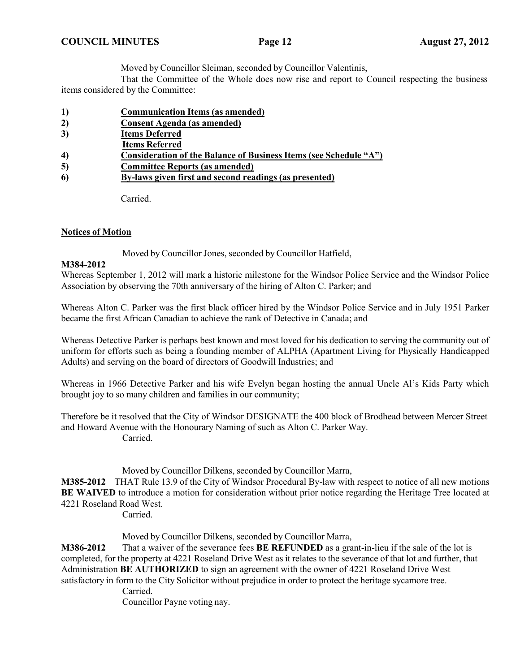Moved by Councillor Sleiman, seconded by Councillor Valentinis,

That the Committee of the Whole does now rise and report to Council respecting the business items considered by the Committee:

- **1) Communication Items (as amended)**
- **2) Consent Agenda (as amended)**
- **3) Items Deferred**
- **Items Referred**
- **4) Consideration of the Balance of Business Items (see Schedule "A")**
- **5) Committee Reports (as amended)**
- **6) By-laws given first and second readings (as presented)**

Carried.

# **Notices of Motion**

Moved by Councillor Jones, seconded by Councillor Hatfield,

## **M384-2012**

Whereas September 1, 2012 will mark a historic milestone for the Windsor Police Service and the Windsor Police Association by observing the 70th anniversary of the hiring of Alton C. Parker; and

Whereas Alton C. Parker was the first black officer hired by the Windsor Police Service and in July 1951 Parker became the first African Canadian to achieve the rank of Detective in Canada; and

Whereas Detective Parker is perhaps best known and most loved for his dedication to serving the community out of uniform for efforts such as being a founding member of ALPHA (Apartment Living for Physically Handicapped Adults) and serving on the board of directors of Goodwill Industries; and

Whereas in 1966 Detective Parker and his wife Evelyn began hosting the annual Uncle Al's Kids Party which brought joy to so many children and families in our community;

Therefore be it resolved that the City of Windsor DESIGNATE the 400 block of Brodhead between Mercer Street and Howard Avenue with the Honourary Naming of such as Alton C. Parker Way. Carried.

Moved by Councillor Dilkens, seconded by Councillor Marra,

**M385-2012** THAT Rule 13.9 of the City of Windsor Procedural By-law with respect to notice of all new motions **BE WAIVED** to introduce a motion for consideration without prior notice regarding the Heritage Tree located at 4221 Roseland Road West.

Carried.

Moved by Councillor Dilkens, seconded by Councillor Marra,

**M386-2012** That a waiver of the severance fees **BE REFUNDED** as a grant-in-lieu if the sale of the lot is completed, for the property at 4221 Roseland Drive West as it relates to the severance of that lot and further, that Administration **BE AUTHORIZED** to sign an agreement with the owner of 4221 Roseland Drive West satisfactory in form to the City Solicitor without prejudice in order to protect the heritage sycamore tree.

Carried.

Councillor Payne voting nay.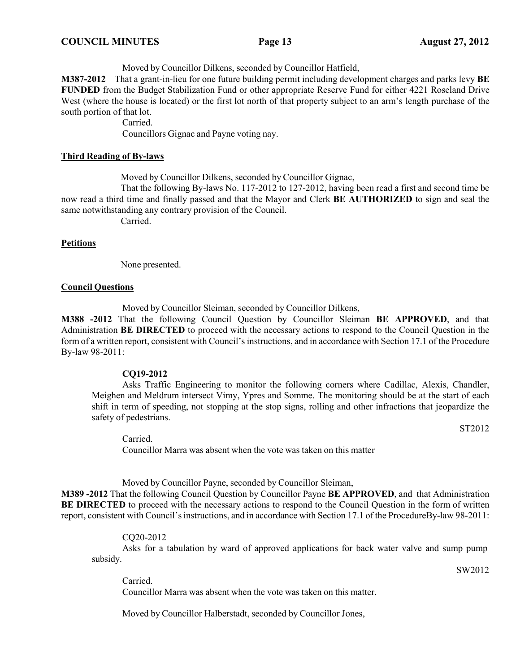Moved by Councillor Dilkens, seconded by Councillor Hatfield,

**M387-2012** That a grant-in-lieu for one future building permit including development charges and parks levy **BE FUNDED** from the Budget Stabilization Fund or other appropriate Reserve Fund for either 4221 Roseland Drive West (where the house is located) or the first lot north of that property subject to an arm's length purchase of the south portion of that lot.

Carried.

Councillors Gignac and Payne voting nay.

### **Third Reading of By-laws**

Moved by Councillor Dilkens, seconded by Councillor Gignac,

That the following By-laws No. 117-2012 to 127-2012, having been read a first and second time be now read a third time and finally passed and that the Mayor and Clerk **BE AUTHORIZED** to sign and seal the same notwithstanding any contrary provision of the Council.

Carried.

### **Petitions**

None presented.

### **Council Questions**

Moved by Councillor Sleiman, seconded by Councillor Dilkens,

**M388 -2012** That the following Council Question by Councillor Sleiman **BE APPROVED**, and that Administration **BE DIRECTED** to proceed with the necessary actions to respond to the Council Question in the form of a written report, consistent with Council's instructions, and in accordance with Section 17.1 of the Procedure By-law 98-2011:

### **CQ19-2012**

Asks Traffic Engineering to monitor the following corners where Cadillac, Alexis, Chandler, Meighen and Meldrum intersect Vimy, Ypres and Somme. The monitoring should be at the start of each shift in term of speeding, not stopping at the stop signs, rolling and other infractions that jeopardize the safety of pedestrians.

ST2012

Carried. Councillor Marra was absent when the vote was taken on this matter

Moved by Councillor Payne, seconded by Councillor Sleiman,

**M389 -2012** That the following Council Question by Councillor Payne **BE APPROVED**, and that Administration **BE DIRECTED** to proceed with the necessary actions to respond to the Council Question in the form of written report, consistent with Council'sinstructions, and in accordance with Section 17.1 of the ProcedureBy-law 98-2011:

### CQ20-2012

subsidy. Asks for a tabulation by ward of approved applications for back water valve and sump pump

SW2012

Carried. Councillor Marra was absent when the vote was taken on this matter.

Moved by Councillor Halberstadt, seconded by Councillor Jones,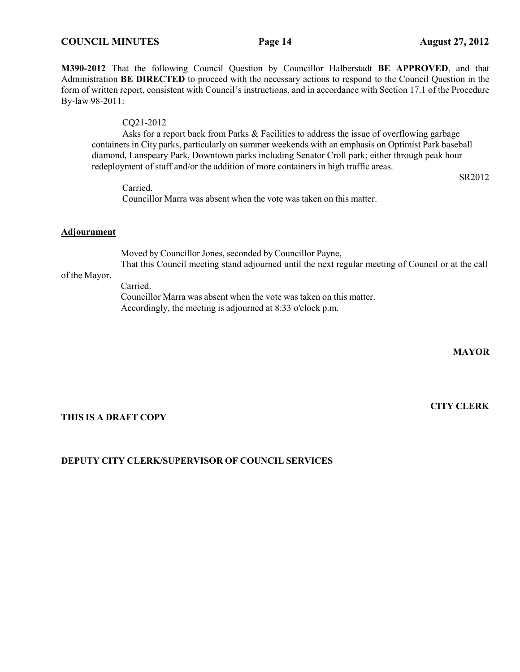## **M390-2012** That the following Council Question by Councillor Halberstadt **BE APPROVED**, and that Administration **BE DIRECTED** to proceed with the necessary actions to respond to the Council Question in the form of written report, consistent with Council's instructions, and in accordance with Section 17.1 of the Procedure By-law 98-2011:

### CQ21-2012

Asks for a report back from Parks & Facilities to address the issue of overflowing garbage containers in City parks, particularly on summer weekends with an emphasis on Optimist Park baseball diamond, Lanspeary Park, Downtown parks including Senator Croll park; either through peak hour redeployment of staff and/or the addition of more containers in high traffic areas.

Carried. Councillor Marra was absent when the vote was taken on this matter.

### **Adjournment**

Moved by Councillor Jones, seconded by Councillor Payne, That this Council meeting stand adjourned until the next regular meeting of Council or at the call

# of the Mayor.

Carried. Councillor Marra was absent when the vote was taken on this matter. Accordingly, the meeting is adjourned at 8:33 o'clock p.m.

**MAYOR**

**CITY CLERK**

SR2012

### **THIS IS A DRAFT COPY**

## **DEPUTY CITY CLERK/SUPERVISOR OF COUNCIL SERVICES**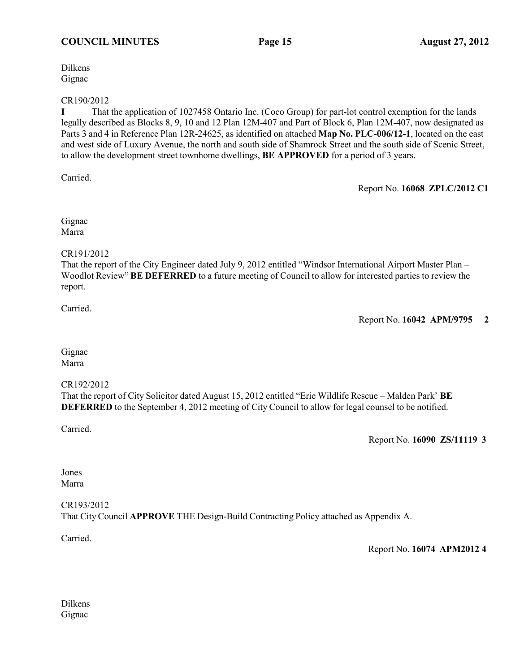Dilkens Gignac

CR190/2012

**I** That the application of 1027458 Ontario Inc. (Coco Group) for part-lot control exemption for the lands legally described as Blocks 8, 9, 10 and 12 Plan 12M-407 and Part of Block 6, Plan 12M-407, now designated as Parts 3 and 4 in Reference Plan 12R-24625, as identified on attached **Map No. PLC-006/12-1**, located on the east and west side of Luxury Avenue, the north and south side of Shamrock Street and the south side of Scenic Street, to allow the development street townhome dwellings, **BE APPROVED** for a period of 3 years.

Carried.

Report No. **16068 ZPLC/2012 C1**

Gignac Marra

# CR191/2012

That the report of the City Engineer dated July 9, 2012 entitled "Windsor International Airport Master Plan – Woodlot Review" **BE DEFERRED** to a future meeting of Council to allow for interested parties to review the report.

Carried.

Report No. **16042 APM/9795 2**

Gignac Marra

## CR192/2012

That the report of City Solicitor dated August 15, 2012 entitled "Erie Wildlife Rescue – Malden Park' **BE DEFERRED** to the September 4, 2012 meeting of City Council to allow for legal counsel to be notified.

Carried.

Report No. **16090 ZS/11119 3**

Jones Marra

CR193/2012 That City Council **APPROVE** THE Design-Build Contracting Policy attached as Appendix A.

Carried.

Report No. **16074 APM2012 4**

Dilkens Gignac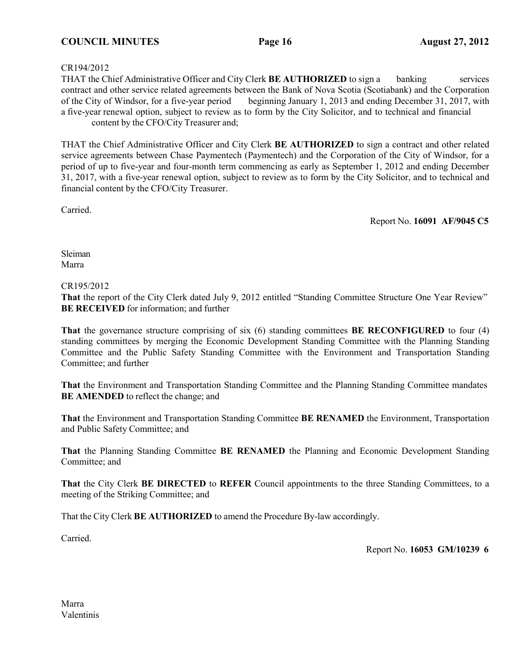### CR194/2012

THAT the Chief Administrative Officer and City Clerk **BE AUTHORIZED** to sign a banking services contract and other service related agreements between the Bank of Nova Scotia (Scotiabank) and the Corporation of the City of Windsor, for a five-year period beginning January 1, 2013 and ending December 31, 2017, with a five-year renewal option, subject to review as to form by the City Solicitor, and to technical and financial content by the CFO/City Treasurer and;

THAT the Chief Administrative Officer and City Clerk **BE AUTHORIZED** to sign a contract and other related service agreements between Chase Paymentech (Paymentech) and the Corporation of the City of Windsor, for a period of up to five-year and four-month term commencing as early as September 1, 2012 and ending December 31, 2017, with a five-year renewal option, subject to review as to form by the City Solicitor, and to technical and financial content by the CFO/City Treasurer.

Carried.

Report No. **16091 AF/9045 C5**

Sleiman Marra

### CR195/2012

**That** the report of the City Clerk dated July 9, 2012 entitled "Standing Committee Structure One Year Review" **BE RECEIVED** for information; and further

**That** the governance structure comprising of six (6) standing committees **BE RECONFIGURED** to four (4) standing committees by merging the Economic Development Standing Committee with the Planning Standing Committee and the Public Safety Standing Committee with the Environment and Transportation Standing Committee; and further

**That** the Environment and Transportation Standing Committee and the Planning Standing Committee mandates **BE AMENDED** to reflect the change; and

**That** the Environment and Transportation Standing Committee **BE RENAMED** the Environment, Transportation and Public Safety Committee; and

**That** the Planning Standing Committee **BE RENAMED** the Planning and Economic Development Standing Committee; and

**That** the City Clerk **BE DIRECTED** to **REFER** Council appointments to the three Standing Committees, to a meeting of the Striking Committee; and

That the City Clerk **BE AUTHORIZED** to amend the Procedure By-law accordingly.

Carried.

Report No. **16053 GM/10239 6**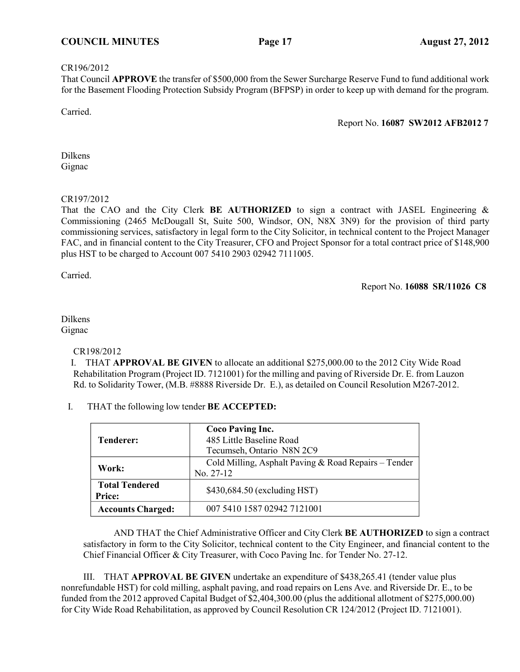### CR196/2012

That Council **APPROVE** the transfer of \$500,000 from the Sewer Surcharge Reserve Fund to fund additional work for the Basement Flooding Protection Subsidy Program (BFPSP) in order to keep up with demand for the program.

Carried.

Report No. **16087 SW2012 AFB2012 7**

Dilkens Gignac

### CR197/2012

That the CAO and the City Clerk **BE AUTHORIZED** to sign a contract with JASEL Engineering & Commissioning (2465 McDougall St, Suite 500, Windsor, ON, N8X 3N9) for the provision of third party commissioning services, satisfactory in legal form to the City Solicitor, in technical content to the Project Manager FAC, and in financial content to the City Treasurer, CFO and Project Sponsor for a total contract price of \$148,900 plus HST to be charged to Account 007 5410 2903 02942 7111005.

Carried.

Report No. **16088 SR/11026 C8**

### Dilkens Gignac

## CR198/2012

I. THAT **APPROVAL BE GIVEN** to allocate an additional \$275,000.00 to the 2012 City Wide Road Rehabilitation Program (Project ID. 7121001) for the milling and paving of Riverside Dr. E. from Lauzon Rd. to Solidarity Tower, (M.B. #8888 Riverside Dr. E.), as detailed on Council Resolution M267-2012.

## I. THAT the following low tender **BE ACCEPTED:**

| Tenderer:                              | <b>Coco Paving Inc.</b><br>485 Little Baseline Road<br>Tecumseh, Ontario N8N 2C9 |
|----------------------------------------|----------------------------------------------------------------------------------|
| Work:                                  | Cold Milling, Asphalt Paving & Road Repairs – Tender<br>No. 27-12                |
| <b>Total Tendered</b><br><b>Price:</b> | \$430,684.50 (excluding HST)                                                     |
| <b>Accounts Charged:</b>               | 007 5410 1587 02942 7121001                                                      |

AND THAT the Chief Administrative Officer and City Clerk **BE AUTHORIZED** to sign a contract satisfactory in form to the City Solicitor, technical content to the City Engineer, and financial content to the Chief Financial Officer & City Treasurer, with Coco Paving Inc. for Tender No. 27-12.

III. THAT **APPROVAL BE GIVEN** undertake an expenditure of \$438,265.41 (tender value plus nonrefundable HST) for cold milling, asphalt paving, and road repairs on Lens Ave. and Riverside Dr. E., to be funded from the 2012 approved Capital Budget of \$2,404,300.00 (plus the additional allotment of \$275,000.00) for City Wide Road Rehabilitation, as approved by Council Resolution CR 124/2012 (Project ID. 7121001).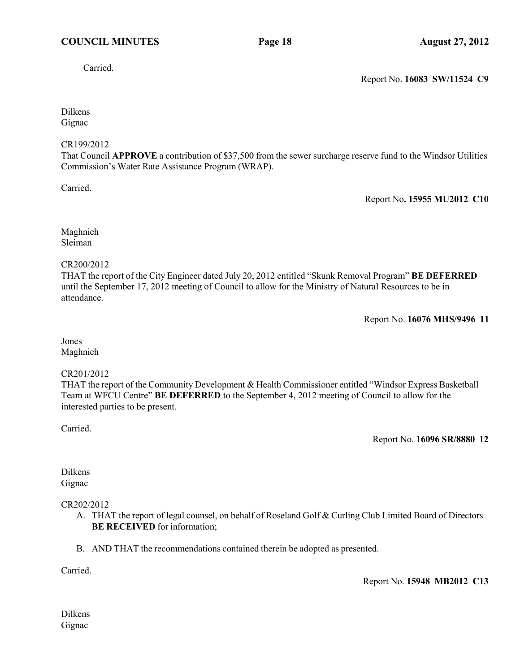Carried.

Report No. **16083 SW/11524 C9**

Dilkens Gignac

### CR199/2012

That Council **APPROVE** a contribution of \$37,500 from the sewer surcharge reserve fund to the Windsor Utilities Commission's Water Rate Assistance Program (WRAP).

Carried.

Report No**. 15955 MU2012 C10**

Maghnieh Sleiman

### CR200/2012

THAT the report of the City Engineer dated July 20, 2012 entitled "Skunk Removal Program" **BE DEFERRED** until the September 17, 2012 meeting of Council to allow for the Ministry of Natural Resources to be in attendance.

Report No. **16076 MHS/9496 11**

Jones Maghnieh

### CR201/2012

THAT the report of the Community Development & Health Commissioner entitled "Windsor Express Basketball Team at WFCU Centre" **BE DEFERRED** to the September 4, 2012 meeting of Council to allow for the interested parties to be present.

Carried.

Report No. **16096 SR/8880 12**

Dilkens Gignac

## CR202/2012

- A. THAT the report of legal counsel, on behalf of Roseland Golf & Curling Club Limited Board of Directors **BE RECEIVED** for information;
- B. AND THAT the recommendations contained therein be adopted as presented.

Carried.

Report No. **15948 MB2012 C13**

Dilkens Gignac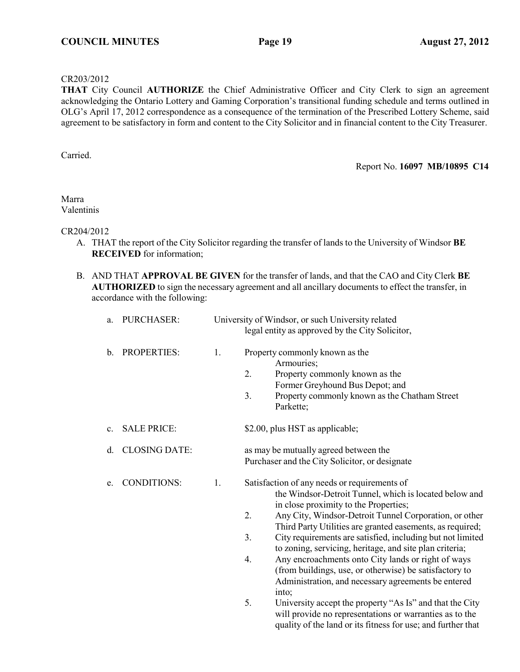### CR203/2012

**THAT** City Council **AUTHORIZE** the Chief Administrative Officer and City Clerk to sign an agreement acknowledging the Ontario Lottery and Gaming Corporation's transitional funding schedule and terms outlined in OLG's April 17, 2012 correspondence as a consequence of the termination of the Prescribed Lottery Scheme, said agreement to be satisfactory in form and content to the City Solicitor and in financial content to the City Treasurer.

Carried.

Report No. **16097 MB/10895 C14**

Marra Valentinis

### CR204/2012

- A. THAT the report of the City Solicitor regarding the transfer of lands to the University of Windsor **BE RECEIVED** for information;
- B. AND THAT **APPROVAL BE GIVEN** for the transfer of lands, and that the CAO and City Clerk **BE AUTHORIZED** to sign the necessary agreement and all ancillary documents to effect the transfer, in accordance with the following:

| a. | PURCHASER:           |    | University of Windsor, or such University related<br>legal entity as approved by the City Solicitor,                                                                                                                                                                                                                                                                                                                                                                                                                                                                                                                                                                                                                           |  |
|----|----------------------|----|--------------------------------------------------------------------------------------------------------------------------------------------------------------------------------------------------------------------------------------------------------------------------------------------------------------------------------------------------------------------------------------------------------------------------------------------------------------------------------------------------------------------------------------------------------------------------------------------------------------------------------------------------------------------------------------------------------------------------------|--|
| b. | PROPERTIES:          | 1. | Property commonly known as the<br>Armouries;<br>2.<br>Property commonly known as the<br>Former Greyhound Bus Depot; and<br>Property commonly known as the Chatham Street<br>3.<br>Parkette;                                                                                                                                                                                                                                                                                                                                                                                                                                                                                                                                    |  |
| c. | <b>SALE PRICE:</b>   |    | \$2.00, plus HST as applicable;                                                                                                                                                                                                                                                                                                                                                                                                                                                                                                                                                                                                                                                                                                |  |
| d. | <b>CLOSING DATE:</b> |    | as may be mutually agreed between the<br>Purchaser and the City Solicitor, or designate                                                                                                                                                                                                                                                                                                                                                                                                                                                                                                                                                                                                                                        |  |
| e. | <b>CONDITIONS:</b>   | 1. | Satisfaction of any needs or requirements of<br>the Windsor-Detroit Tunnel, which is located below and<br>in close proximity to the Properties;<br>2.<br>Any City, Windsor-Detroit Tunnel Corporation, or other<br>Third Party Utilities are granted easements, as required;<br>3.<br>City requirements are satisfied, including but not limited<br>to zoning, servicing, heritage, and site plan criteria;<br>Any encroachments onto City lands or right of ways<br>4.<br>(from buildings, use, or otherwise) be satisfactory to<br>Administration, and necessary agreements be entered<br>into;<br>5.<br>University accept the property "As Is" and that the City<br>will provide no representations or warranties as to the |  |

will provide no representations or warranties as to the quality of the land or its fitness for use; and further that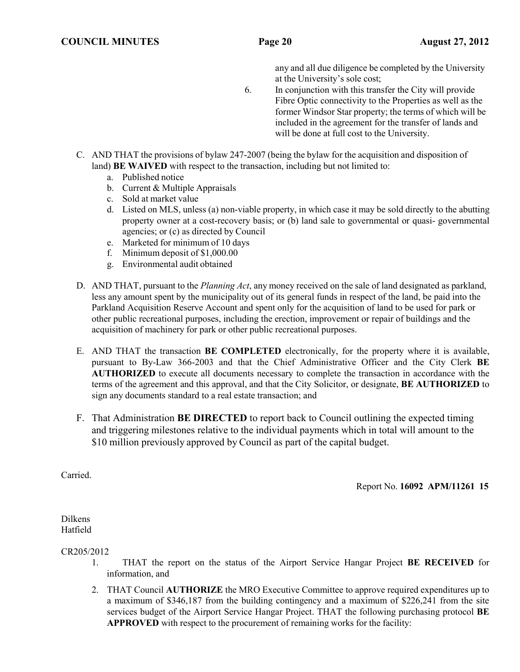any and all due diligence be completed by the University at the University's sole cost;

- 6. In conjunction with this transfer the City will provide Fibre Optic connectivity to the Properties as well as the former Windsor Star property; the terms of which will be included in the agreement for the transfer of lands and will be done at full cost to the University.
- C. AND THAT the provisions of bylaw 247-2007 (being the bylaw for the acquisition and disposition of land) **BE WAIVED** with respect to the transaction, including but not limited to:
	- a. Published notice
	- b. Current & Multiple Appraisals
	- c. Sold at market value
	- d. Listed on MLS, unless (a) non-viable property, in which case it may be sold directly to the abutting property owner at a cost-recovery basis; or (b) land sale to governmental or quasi- governmental agencies; or (c) as directed by Council
	- e. Marketed for minimum of 10 days
	- f. Minimum deposit of \$1,000.00
	- g. Environmental audit obtained
- D. AND THAT, pursuant to the *Planning Act*, any money received on the sale of land designated as parkland, less any amount spent by the municipality out of its general funds in respect of the land, be paid into the Parkland Acquisition Reserve Account and spent only for the acquisition of land to be used for park or other public recreational purposes, including the erection, improvement or repair of buildings and the acquisition of machinery for park or other public recreational purposes.
- E. AND THAT the transaction **BE COMPLETED** electronically, for the property where it is available, pursuant to By-Law 366-2003 and that the Chief Administrative Officer and the City Clerk **BE AUTHORIZED** to execute all documents necessary to complete the transaction in accordance with the terms of the agreement and this approval, and that the City Solicitor, or designate, **BE AUTHORIZED** to sign any documents standard to a real estate transaction; and
- F. That Administration **BE DIRECTED** to report back to Council outlining the expected timing and triggering milestones relative to the individual payments which in total will amount to the \$10 million previously approved by Council as part of the capital budget.

Carried.

Report No. **16092 APM/11261 15**

Dilkens Hatfield

CR205/2012

- 1. THAT the report on the status of the Airport Service Hangar Project **BE RECEIVED** for information, and
- 2. THAT Council **AUTHORIZE** the MRO Executive Committee to approve required expenditures up to a maximum of \$346,187 from the building contingency and a maximum of \$226,241 from the site services budget of the Airport Service Hangar Project. THAT the following purchasing protocol **BE APPROVED** with respect to the procurement of remaining works for the facility: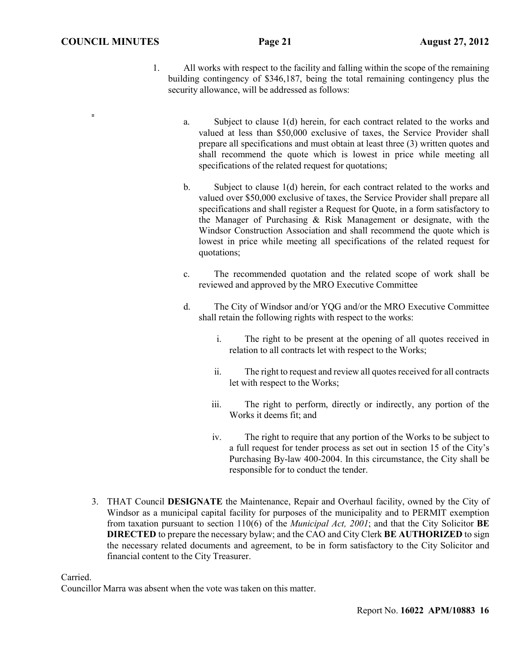$\equiv$ 

- 1. All works with respect to the facility and falling within the scope of the remaining building contingency of \$346,187, being the total remaining contingency plus the security allowance, will be addressed as follows:
	- a. Subject to clause 1(d) herein, for each contract related to the works and valued at less than \$50,000 exclusive of taxes, the Service Provider shall prepare all specifications and must obtain at least three (3) written quotes and shall recommend the quote which is lowest in price while meeting all specifications of the related request for quotations;
	- b. Subject to clause 1(d) herein, for each contract related to the works and valued over \$50,000 exclusive of taxes, the Service Provider shall prepare all specifications and shall register a Request for Quote, in a form satisfactory to the Manager of Purchasing & Risk Management or designate, with the Windsor Construction Association and shall recommend the quote which is lowest in price while meeting all specifications of the related request for quotations;
	- c. The recommended quotation and the related scope of work shall be reviewed and approved by the MRO Executive Committee
	- d. The City of Windsor and/or YQG and/or the MRO Executive Committee shall retain the following rights with respect to the works:
		- i. The right to be present at the opening of all quotes received in relation to all contracts let with respect to the Works;
		- ii. The right to request and review all quotes received for all contracts let with respect to the Works;
		- iii. The right to perform, directly or indirectly, any portion of the Works it deems fit; and
		- iv. The right to require that any portion of the Works to be subject to a full request for tender process as set out in section 15 of the City's Purchasing By-law 400-2004. In this circumstance, the City shall be responsible for to conduct the tender.
- 3. THAT Council **DESIGNATE** the Maintenance, Repair and Overhaul facility, owned by the City of Windsor as a municipal capital facility for purposes of the municipality and to PERMIT exemption from taxation pursuant to section 110(6) of the *Municipal Act, 2001*; and that the City Solicitor **BE DIRECTED** to prepare the necessary bylaw; and the CAO and City Clerk **BE AUTHORIZED** to sign the necessary related documents and agreement, to be in form satisfactory to the City Solicitor and financial content to the City Treasurer.

Carried.

Councillor Marra was absent when the vote was taken on this matter.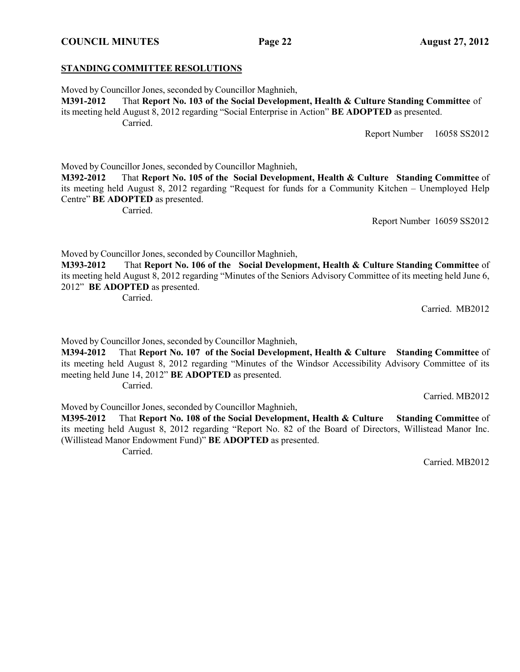# **STANDING COMMITTEE RESOLUTIONS**

Moved by Councillor Jones, seconded by Councillor Maghnieh,

**M391-2012** That **Report No. 103 of the Social Development, Health & Culture Standing Committee** of its meeting held August 8, 2012 regarding "Social Enterprise in Action" **BE ADOPTED** as presented. Carried.

Report Number 16058 SS2012

Moved by Councillor Jones, seconded by Councillor Maghnieh,

**M392-2012** That **Report No. 105 of the Social Development, Health & Culture Standing Committee** of its meeting held August 8, 2012 regarding "Request for funds for a Community Kitchen – Unemployed Help Centre" **BE ADOPTED** as presented.

Carried.

Report Number 16059 SS2012

Moved by Councillor Jones, seconded by Councillor Maghnieh,

**M393-2012** That **Report No. 106 of the Social Development, Health & Culture Standing Committee** of its meeting held August 8, 2012 regarding "Minutes of the Seniors Advisory Committee of its meeting held June 6, 2012" **BE ADOPTED** as presented.

Carried.

Carried. MB2012

Moved by Councillor Jones, seconded by Councillor Maghnieh,

**M394-2012** That **Report No. 107 of the Social Development, Health & Culture Standing Committee** of its meeting held August 8, 2012 regarding "Minutes of the Windsor Accessibility Advisory Committee of its meeting held June 14, 2012" **BE ADOPTED** as presented. Carried.

Moved by Councillor Jones, seconded by Councillor Maghnieh,

**M395-2012** That **Report No. 108 of the Social Development, Health & Culture Standing Committee** of its meeting held August 8, 2012 regarding "Report No. 82 of the Board of Directors, Willistead Manor Inc. (Willistead Manor Endowment Fund)" **BE ADOPTED** as presented.

Carried.

Carried. MB2012

Carried. MB2012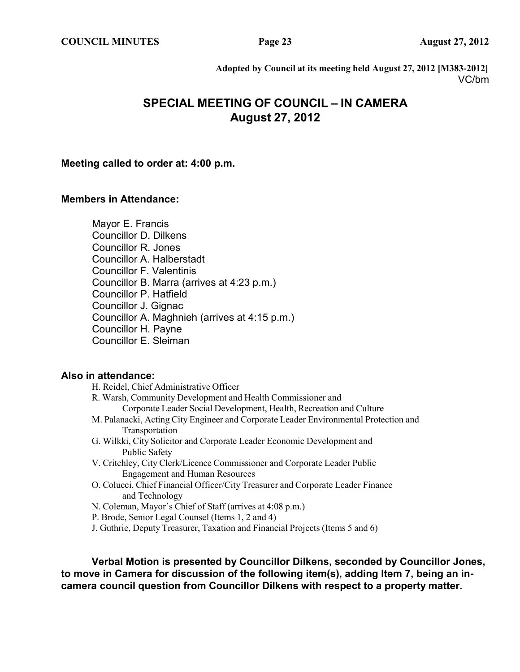**Adopted by Council at its meeting held August 27, 2012 [M383-2012]** VC/bm

# **SPECIAL MEETING OF COUNCIL – IN CAMERA August 27, 2012**

## **Meeting called to order at: 4:00 p.m.**

# **Members in Attendance:**

Mayor E. Francis Councillor D. Dilkens Councillor R. Jones Councillor A. Halberstadt Councillor F. Valentinis Councillor B. Marra (arrives at 4:23 p.m.) Councillor P. Hatfield Councillor J. Gignac Councillor A. Maghnieh (arrives at 4:15 p.m.) Councillor H. Payne Councillor E. Sleiman

## **Also in attendance:**

| H. Reidel, Chief Administrative Officer                                              |
|--------------------------------------------------------------------------------------|
| R. Warsh, Community Development and Health Commissioner and                          |
| Corporate Leader Social Development, Health, Recreation and Culture                  |
| M. Palanacki, Acting City Engineer and Corporate Leader Environmental Protection and |
| Transportation                                                                       |
| G. Wilkki, City Solicitor and Corporate Leader Economic Development and              |
| Public Safety                                                                        |
| V. Critchley, City Clerk/Licence Commissioner and Corporate Leader Public            |
| <b>Engagement and Human Resources</b>                                                |
| O. Colucci, Chief Financial Officer/City Treasurer and Corporate Leader Finance      |
| and Technology                                                                       |
| N. Coleman, Mayor's Chief of Staff (arrives at 4:08 p.m.)                            |
| P. Brode, Senior Legal Counsel (Items 1, 2 and 4)                                    |
|                                                                                      |

J. Guthrie, Deputy Treasurer, Taxation and Financial Projects (Items 5 and 6)

**Verbal Motion is presented by Councillor Dilkens, seconded by Councillor Jones, to move in Camera for discussion of the following item(s), adding Item 7, being an incamera council question from Councillor Dilkens with respect to a property matter.**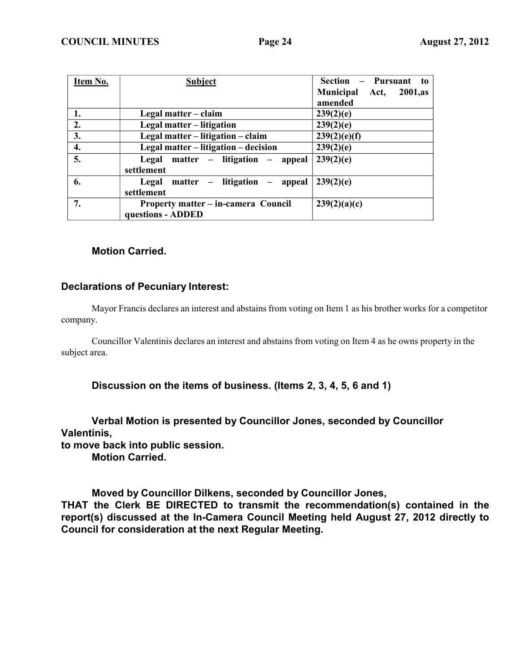| Item No. | <b>Subject</b>                         | Section – Pursuant to            |
|----------|----------------------------------------|----------------------------------|
|          |                                        | Municipal Act,<br><b>2001,as</b> |
|          |                                        | amended                          |
| 1.       | Legal matter – claim                   | 239(2)(e)                        |
| 2.       | Legal matter – litigation              | 239(2)(e)                        |
| 3.       | Legal matter – litigation – claim      | 239(2)(e)(f)                     |
| 4.       | Legal matter - litigation - decision   | 239(2)(e)                        |
| 5.       | Legal matter $-$ litigation $-$ appeal | 239(2)(e)                        |
|          | settlement                             |                                  |
| 6.       | Legal matter – litigation – appeal     | 239(2)(e)                        |
|          | settlement                             |                                  |
| 7.       | Property matter - in-camera Council    | 239(2)(a)(c)                     |
|          | questions - ADDED                      |                                  |

# **Motion Carried.**

# **Declarations of Pecuniary Interest:**

Mayor Francis declares an interest and abstains from voting on Item 1 as his brother works for a competitor company.

Councillor Valentinis declares an interest and abstains from voting on Item 4 as he owns property in the subject area.

**Discussion on the items of business. (Items 2, 3, 4, 5, 6 and 1)**

**Verbal Motion is presented by Councillor Jones, seconded by Councillor Valentinis,**

**to move back into public session. Motion Carried.**

**Moved by Councillor Dilkens, seconded by Councillor Jones, THAT the Clerk BE DIRECTED to transmit the recommendation(s) contained in the report(s) discussed at the In-Camera Council Meeting held August 27, 2012 directly to Council for consideration at the next Regular Meeting.**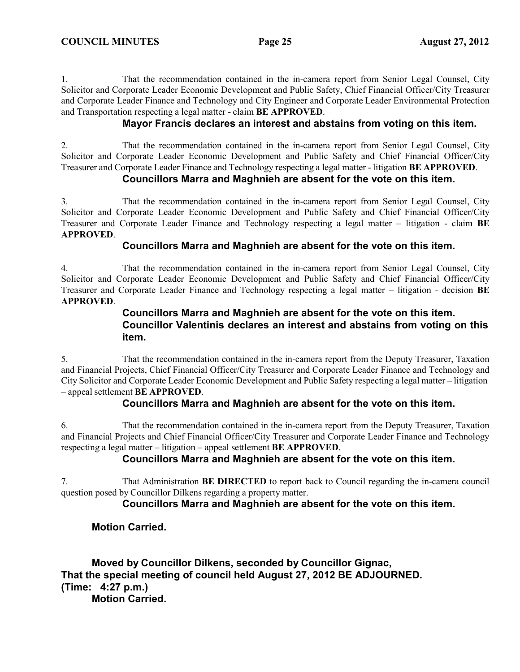1. That the recommendation contained in the in-camera report from Senior Legal Counsel, City Solicitor and Corporate Leader Economic Development and Public Safety, Chief Financial Officer/City Treasurer and Corporate Leader Finance and Technology and City Engineer and Corporate Leader Environmental Protection and Transportation respecting a legal matter - claim **BE APPROVED**.

# **Mayor Francis declares an interest and abstains from voting on this item.**

2. That the recommendation contained in the in-camera report from Senior Legal Counsel, City Solicitor and Corporate Leader Economic Development and Public Safety and Chief Financial Officer/City Treasurer and Corporate Leader Finance and Technology respecting a legal matter - litigation **BE APPROVED**.

# **Councillors Marra and Maghnieh are absent for the vote on this item.**

3. That the recommendation contained in the in-camera report from Senior Legal Counsel, City Solicitor and Corporate Leader Economic Development and Public Safety and Chief Financial Officer/City Treasurer and Corporate Leader Finance and Technology respecting a legal matter – litigation - claim **BE APPROVED**.

# **Councillors Marra and Maghnieh are absent for the vote on this item.**

4. That the recommendation contained in the in-camera report from Senior Legal Counsel, City Solicitor and Corporate Leader Economic Development and Public Safety and Chief Financial Officer/City Treasurer and Corporate Leader Finance and Technology respecting a legal matter – litigation - decision **BE APPROVED**.

# **Councillors Marra and Maghnieh are absent for the vote on this item. Councillor Valentinis declares an interest and abstains from voting on this item.**

5. That the recommendation contained in the in-camera report from the Deputy Treasurer, Taxation and Financial Projects, Chief Financial Officer/City Treasurer and Corporate Leader Finance and Technology and City Solicitor and Corporate Leader Economic Development and Public Safety respecting a legal matter – litigation – appeal settlement **BE APPROVED**.

# **Councillors Marra and Maghnieh are absent for the vote on this item.**

6. That the recommendation contained in the in-camera report from the Deputy Treasurer, Taxation and Financial Projects and Chief Financial Officer/City Treasurer and Corporate Leader Finance and Technology respecting a legal matter – litigation – appeal settlement **BE APPROVED**.

# **Councillors Marra and Maghnieh are absent for the vote on this item.**

7. That Administration **BE DIRECTED** to report back to Council regarding the in-camera council question posed by Councillor Dilkens regarding a property matter.

# **Councillors Marra and Maghnieh are absent for the vote on this item.**

# **Motion Carried.**

**Moved by Councillor Dilkens, seconded by Councillor Gignac, That the special meeting of council held August 27, 2012 BE ADJOURNED. (Time: 4:27 p.m.)**

**Motion Carried.**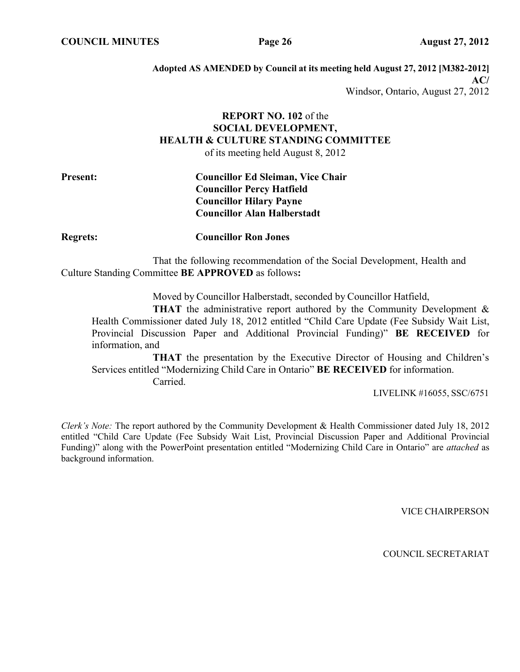**Adopted AS AMENDED by Council at its meeting held August 27, 2012 [M382-2012] AC/** Windsor, Ontario, August 27, 2012

# **REPORT NO. 102** of the **SOCIAL DEVELOPMENT, HEALTH & CULTURE STANDING COMMITTEE** of its meeting held August 8, 2012

# **Present: Councillor Ed Sleiman, Vice Chair Councillor Percy Hatfield Councillor Hilary Payne Councillor Alan Halberstadt**

**Regrets: Councillor Ron Jones**

That the following recommendation of the Social Development, Health and Culture Standing Committee **BE APPROVED** as follows**:**

Moved by Councillor Halberstadt, seconded by Councillor Hatfield,

**THAT** the administrative report authored by the Community Development & Health Commissioner dated July 18, 2012 entitled "Child Care Update (Fee Subsidy Wait List, Provincial Discussion Paper and Additional Provincial Funding)" **BE RECEIVED** for information, and

**THAT** the presentation by the Executive Director of Housing and Children's Services entitled "Modernizing Child Care in Ontario" **BE RECEIVED** for information. Carried.

LIVELINK #16055, SSC/6751

*Clerk's Note:* The report authored by the Community Development & Health Commissioner dated July 18, 2012 entitled "Child Care Update (Fee Subsidy Wait List, Provincial Discussion Paper and Additional Provincial Funding)" along with the PowerPoint presentation entitled "Modernizing Child Care in Ontario" are *attached* as background information.

VICE CHAIRPERSON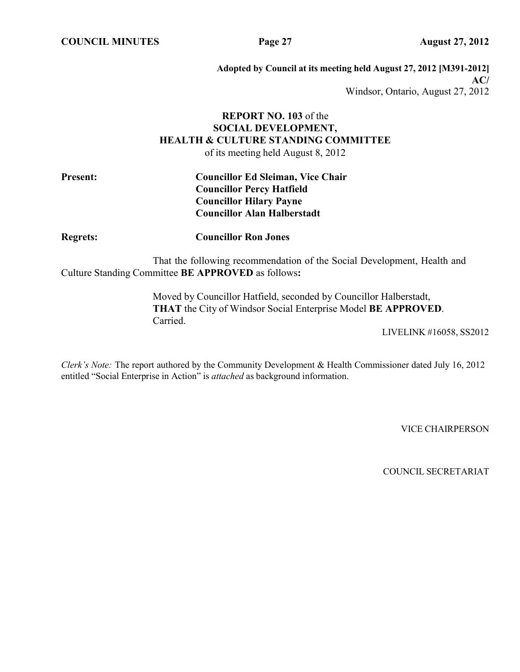**COUNCIL MINUTES Page 27 August 27, 2012**

**Adopted by Council at its meeting held August 27, 2012 [M391-2012] AC/** Windsor, Ontario, August 27, 2012

# **REPORT NO. 103** of the **SOCIAL DEVELOPMENT, HEALTH & CULTURE STANDING COMMITTEE** of its meeting held August 8, 2012

# **Present: Councillor Ed Sleiman, Vice Chair Councillor Percy Hatfield Councillor Hilary Payne Councillor Alan Halberstadt**

**Regrets: Councillor Ron Jones**

That the following recommendation of the Social Development, Health and Culture Standing Committee **BE APPROVED** as follows**:**

> Moved by Councillor Hatfield, seconded by Councillor Halberstadt, **THAT** the City of Windsor Social Enterprise Model **BE APPROVED**. Carried.

> > LIVELINK #16058, SS2012

*Clerk's Note:* The report authored by the Community Development & Health Commissioner dated July 16, 2012 entitled "Social Enterprise in Action" is *attached* as background information.

VICE CHAIRPERSON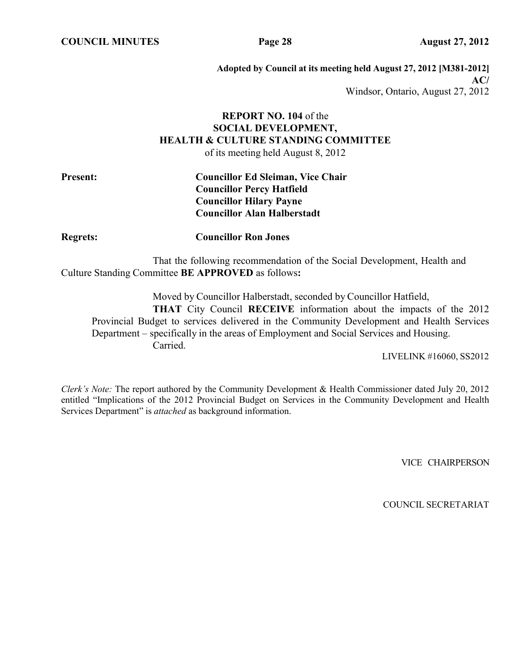**COUNCIL MINUTES Page 28 August 27, 2012**

**Adopted by Council at its meeting held August 27, 2012 [M381-2012] AC/** Windsor, Ontario, August 27, 2012

# **REPORT NO. 104** of the **SOCIAL DEVELOPMENT, HEALTH & CULTURE STANDING COMMITTEE** of its meeting held August 8, 2012

# **Present: Councillor Ed Sleiman, Vice Chair Councillor Percy Hatfield Councillor Hilary Payne Councillor Alan Halberstadt**

**Regrets: Councillor Ron Jones**

That the following recommendation of the Social Development, Health and Culture Standing Committee **BE APPROVED** as follows**:**

Moved by Councillor Halberstadt, seconded by Councillor Hatfield, **THAT** City Council **RECEIVE** information about the impacts of the 2012 Provincial Budget to services delivered in the Community Development and Health Services Department – specifically in the areas of Employment and Social Services and Housing. Carried.

LIVELINK #16060, SS2012

*Clerk's Note:* The report authored by the Community Development & Health Commissioner dated July 20, 2012 entitled "Implications of the 2012 Provincial Budget on Services in the Community Development and Health Services Department" is *attached* as background information.

VICE CHAIRPERSON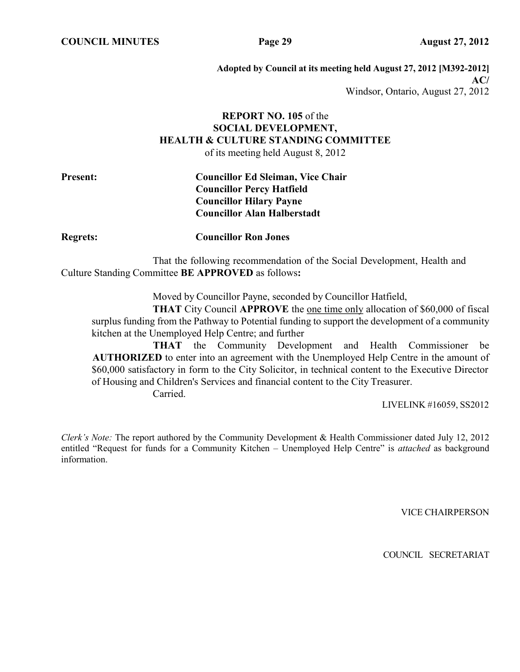**COUNCIL MINUTES Page 29 August 27, 2012**

**Adopted by Council at its meeting held August 27, 2012 [M392-2012] AC/** Windsor, Ontario, August 27, 2012

# **REPORT NO. 105** of the **SOCIAL DEVELOPMENT, HEALTH & CULTURE STANDING COMMITTEE** of its meeting held August 8, 2012

# **Present: Councillor Ed Sleiman, Vice Chair Councillor Percy Hatfield Councillor Hilary Payne Councillor Alan Halberstadt**

**Regrets: Councillor Ron Jones**

That the following recommendation of the Social Development, Health and Culture Standing Committee **BE APPROVED** as follows**:**

Moved by Councillor Payne, seconded by Councillor Hatfield,

**THAT** City Council **APPROVE** the one time only allocation of \$60,000 of fiscal surplus funding from the Pathway to Potential funding to support the development of a community kitchen at the Unemployed Help Centre; and further

**THAT** the Community Development and Health Commissioner be **AUTHORIZED** to enter into an agreement with the Unemployed Help Centre in the amount of \$60,000 satisfactory in form to the City Solicitor, in technical content to the Executive Director of Housing and Children's Services and financial content to the City Treasurer.

Carried.

LIVELINK #16059, SS2012

*Clerk's Note:* The report authored by the Community Development & Health Commissioner dated July 12, 2012 entitled "Request for funds for a Community Kitchen – Unemployed Help Centre" is *attached* as background information.

VICE CHAIRPERSON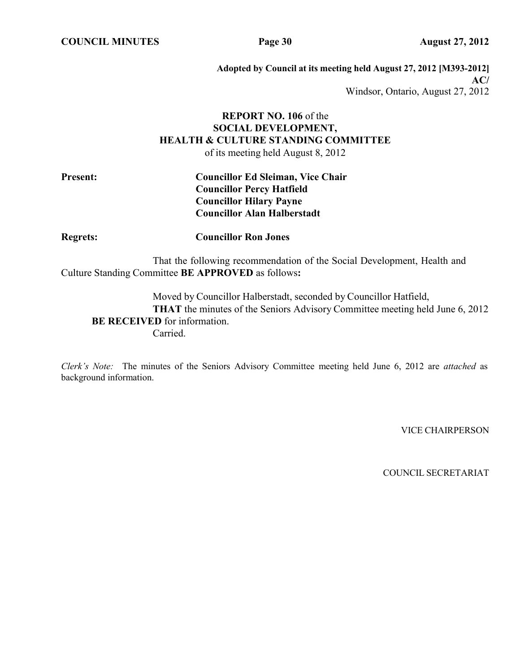**COUNCIL MINUTES Page 30 August 27, 2012**

**Adopted by Council at its meeting held August 27, 2012 [M393-2012] AC/** Windsor, Ontario, August 27, 2012

# **REPORT NO. 106** of the **SOCIAL DEVELOPMENT, HEALTH & CULTURE STANDING COMMITTEE** of its meeting held August 8, 2012

# **Present: Councillor Ed Sleiman, Vice Chair Councillor Percy Hatfield Councillor Hilary Payne Councillor Alan Halberstadt**

**Regrets: Councillor Ron Jones**

That the following recommendation of the Social Development, Health and Culture Standing Committee **BE APPROVED** as follows**:**

Moved by Councillor Halberstadt, seconded by Councillor Hatfield, **THAT** the minutes of the Seniors Advisory Committee meeting held June 6, 2012 **BE RECEIVED** for information. Carried.

*Clerk's Note:* The minutes of the Seniors Advisory Committee meeting held June 6, 2012 are *attached* as background information.

VICE CHAIRPERSON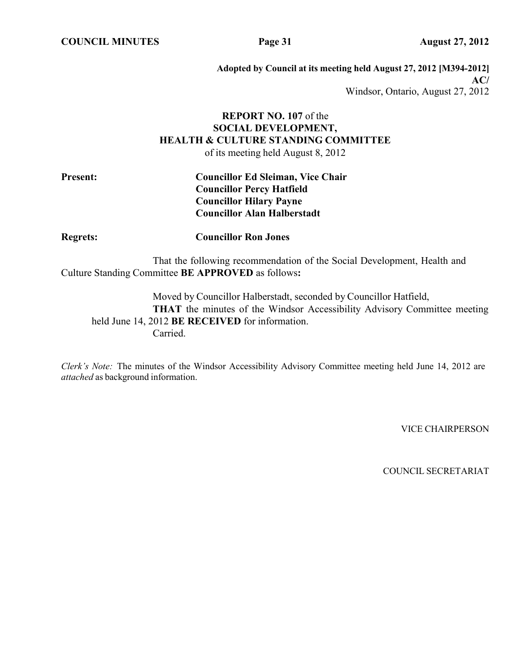**COUNCIL MINUTES Page 31 August 27, 2012**

**Adopted by Council at its meeting held August 27, 2012 [M394-2012] AC/** Windsor, Ontario, August 27, 2012

# **REPORT NO. 107** of the **SOCIAL DEVELOPMENT, HEALTH & CULTURE STANDING COMMITTEE** of its meeting held August 8, 2012

# **Present: Councillor Ed Sleiman, Vice Chair Councillor Percy Hatfield Councillor Hilary Payne Councillor Alan Halberstadt**

**Regrets: Councillor Ron Jones**

That the following recommendation of the Social Development, Health and Culture Standing Committee **BE APPROVED** as follows**:**

Moved by Councillor Halberstadt, seconded by Councillor Hatfield, **THAT** the minutes of the Windsor Accessibility Advisory Committee meeting held June 14, 2012 **BE RECEIVED** for information. Carried.

*Clerk's Note:* The minutes of the Windsor Accessibility Advisory Committee meeting held June 14, 2012 are *attached* as background information.

VICE CHAIRPERSON